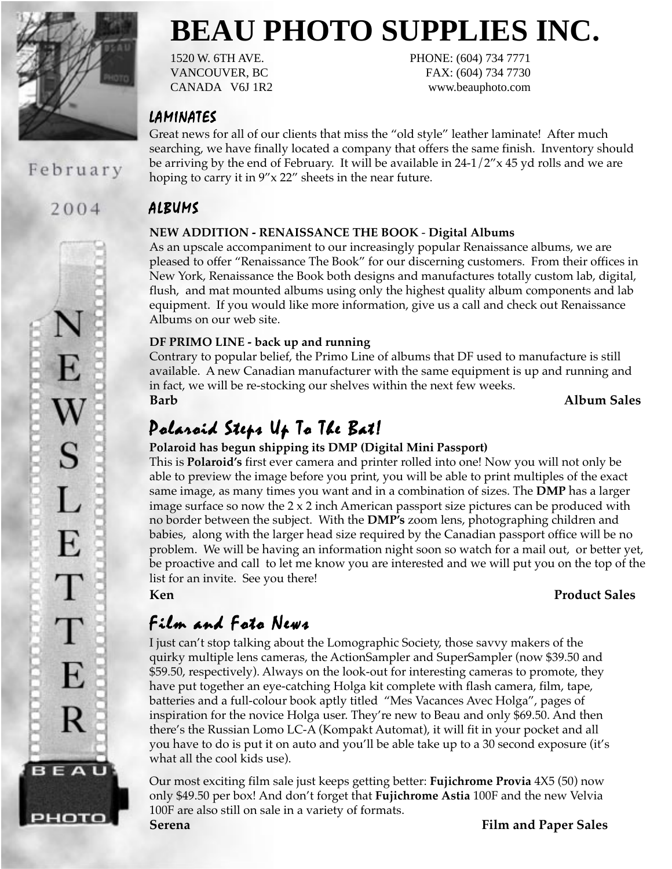

February

2004

E

S

 $\mathbf{L}$ 

E

T

Τ

E

R

BEAU

рното

**BEAU PHOTO SUPPLIES INC.** 1520 W. 6TH AVE. PHONE: (604) 734 7771

VANCOUVER, BC FAX: (604) 734 7730 CANADA V6J 1R2 www.beauphoto.com

LAMINATES

Great news for all of our clients that miss the "old style" leather laminate! After much searching, we have finally located a company that offers the same finish. Inventory should be arriving by the end of February. It will be available in  $24-1/2''$  x 45 yd rolls and we are hoping to carry it in 9"x 22" sheets in the near future.

## ALBUMS

## **NEW ADDITION - RENAISSANCE THE BOOK** - **Digital Albums**

As an upscale accompaniment to our increasingly popular Renaissance albums, we are pleased to offer "Renaissance The Book" for our discerning customers. From their offices in New York, Renaissance the Book both designs and manufactures totally custom lab, digital, flush, and mat mounted albums using only the highest quality album components and lab equipment. If you would like more information, give us a call and check out Renaissance Albums on our web site.

## **DF PRIMO LINE - back up and running**

Contrary to popular belief, the Primo Line of albums that DF used to manufacture is still available. A new Canadian manufacturer with the same equipment is up and running and in fact, we will be re-stocking our shelves within the next few weeks. **Barb Album Sales**

## Polaroid Steps Up To The Bat!

## **Polaroid has begun shipping its DMP (Digital Mini Passport)**

This is **Polaroid's** first ever camera and printer rolled into one! Now you will not only be able to preview the image before you print, you will be able to print multiples of the exact same image, as many times you want and in a combination of sizes. The **DMP** has a larger image surface so now the  $2 \times 2$  inch American passport size pictures can be produced with no border between the subject. With the **DMP's** zoom lens, photographing children and babies, along with the larger head size required by the Canadian passport office will be no problem. We will be having an information night soon so watch for a mail out, or better yet, be proactive and call to let me know you are interested and we will put you on the top of the list for an invite. See you there!

## **Ken Product Sales**

## Film and Foto News

I just can't stop talking about the Lomographic Society, those savvy makers of the quirky multiple lens cameras, the ActionSampler and SuperSampler (now \$39.50 and \$59.50, respectively). Always on the look-out for interesting cameras to promote, they have put together an eye-catching Holga kit complete with flash camera, film, tape, batteries and a full-colour book aptly titled "Mes Vacances Avec Holga", pages of inspiration for the novice Holga user. They're new to Beau and only \$69.50. And then there's the Russian Lomo LC-A (Kompakt Automat), it will fit in your pocket and all you have to do is put it on auto and you'll be able take up to a 30 second exposure (it's what all the cool kids use).

Our most exciting film sale just keeps getting better: **Fujichrome Provia** 4X5 (50) now only \$49.50 per box! And don't forget that **Fujichrome Astia** 100F and the new Velvia 100F are also still on sale in a variety of formats.

**Serena Film and Paper Sales**